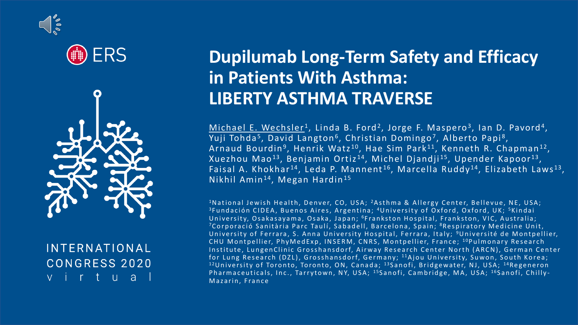





#### **INTERNATIONAL CONGRESS 2020** virtua

## **Dupilumab Long-Term Safety and Efficacy in Patients With Asthma: LIBERTY ASTHMA TRAVERSE**

<u>Michael E. Wechsler</u><sup>1</sup>, Linda B. Ford<sup>2</sup>, Jorge F. Maspero<sup>3</sup>, Ian D. Pavord<sup>4</sup>, Yuji Tohda<sup>5</sup>, David Langton<sup>6</sup>, Christian Domingo<sup>7</sup>, Alberto Papi<sup>8</sup>, Arnaud Bourdin<sup>9</sup>, Henrik Watz<sup>10</sup>, Hae Sim Park<sup>11</sup>, Kenneth R. Chapman<sup>12</sup>, Xuezhou Mao<sup>13</sup>, Benjamin Ortiz<sup>14</sup>, Michel Djandji<sup>15</sup>, Upender Kapoor<sup>13</sup>, Faisal A. Khokhar $^{14}$ , Leda P. Mannent $^{16}$ , Marcella Ruddy $^{14}$ , Elizabeth Laws $^{13}$ , Nikhil Amin<sup>14</sup>, Megan Hardin<sup>15</sup>

<sup>1</sup>N ational Jewish Health, Denver, CO, USA; <sup>2</sup>A sthma & Allergy Center, Bellevue, NE, USA; <sup>3</sup> Fundación CIDEA, Buenos Aires, Argentina; <sup>4</sup> University of Oxford, Oxford, UK; <sup>5</sup> Kindai University, Osakasayama, Osaka, Japan; <sup>6</sup>Frankston Hospital, Frankston, VIC, Australia; <sup>7</sup>C or poració Sanitària Parc Taulí, Sabadell, Barcelona, Spain; <sup>8</sup>Respiratory Medicine Unit, University of Ferrara, S. Anna University Hospital, Ferrara, Italy; <sup>9</sup>Université de Montpellier, C H U M ont pellier, Phy Med Exp, INSERM, CNRS, Mont pellier, France; <sup>10</sup> Pulmonary Research Institute, LungenClinic Grosshansdorf, Airway Research Center North (ARCN), German Center for Lung Research (DZL), Grosshansdorf, Germany; <sup>11</sup>Ajou University, Suwon, South Korea;  $12$ University of Toronto, Toronto, ON, Canada;  $13$ Sanofi, Bridgewater, NJ, USA;  $14$ Regeneron Pharmaceuticals, Inc., Tarrytown, NY, USA; <sup>15</sup>Sanofi, Cambridge, MA, USA; <sup>16</sup>Sanofi, Chilly-Mazarin, France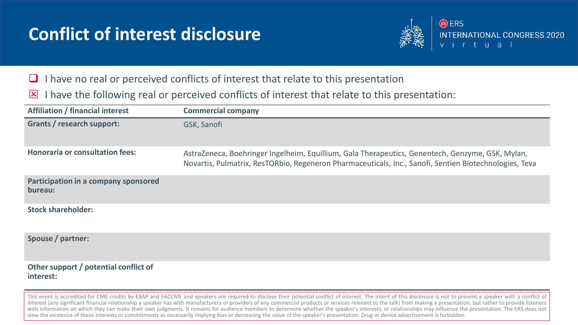## **Conflict of interest disclosure**



- I have no real or perceived conflicts of interest that relate to this presentation
- $\boxtimes$  I have the following real or perceived conflicts of interest that relate to this presentation:

| <b>Affiliation / financial interest</b>            | <b>Commercial company</b>                                                                                                                                                                                  |
|----------------------------------------------------|------------------------------------------------------------------------------------------------------------------------------------------------------------------------------------------------------------|
| <b>Grants / research support:</b>                  | GSK, Sanofi                                                                                                                                                                                                |
| <b>Honoraria or consultation fees:</b>             | AstraZeneca, Boehringer Ingelheim, Equillium, Gala Therapeutics, Genentech, Genzyme, GSK, Mylan,<br>Novartis, Pulmatrix, ResTORbio, Regeneron Pharmaceuticals, Inc., Sanofi, Sentien Biotechnologies, Teva |
| Participation in a company sponsored<br>bureau:    |                                                                                                                                                                                                            |
| <b>Stock shareholder:</b>                          |                                                                                                                                                                                                            |
| Spouse / partner:                                  |                                                                                                                                                                                                            |
| Other support / potential conflict of<br>interest: |                                                                                                                                                                                                            |

This event is accredited for CME credits by EBAP and EACCME and speakers are required to disclose their potential conflict of interest. The intent of this disclosure is not to prevent a speaker with a conflict of interest (any significant financial relationship a speaker has with manufacturers or providers of any commercial products or services relevant to the talk) from making a presentation, but rather to provide listeners with information on which they can make their own judgments. It remains for audience members to determine whether the speaker's interests, or relationships may influence the presentation. The ERS does not view the existence of these interests or commitments as necessarily implying bias or decreasing the value of the speaker's presentation. Drug or device advertisement is forbidden.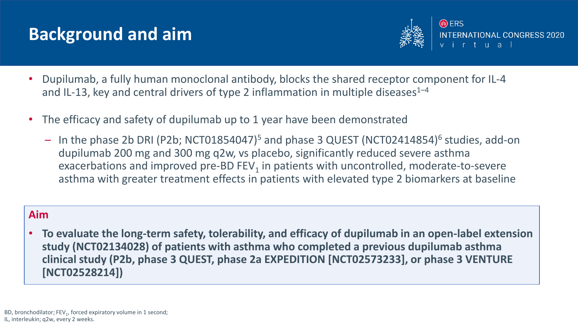## **Background and aim**



- Dupilumab, a fully human monoclonal antibody, blocks the shared receptor component for IL-4 and IL-13, key and central drivers of type 2 inflammation in multiple diseases<sup>1-4</sup>
- The efficacy and safety of dupilumab up to 1 year have been demonstrated
	- In the phase 2b DRI (P2b; NCT01854047)<sup>5</sup> and phase 3 QUEST (NCT02414854)<sup>6</sup> studies, add-on dupilumab 200 mg and 300 mg q2w, vs placebo, significantly reduced severe asthma exacerbations and improved pre-BD FEV<sub>1</sub> in patients with uncontrolled, moderate-to-severe asthma with greater treatment effects in patients with elevated type 2 biomarkers at baseline

#### **Aim**

• **To evaluate the long-term safety, tolerability, and efficacy of dupilumab in an open-label extension study (NCT02134028) of patients with asthma who completed a previous dupilumab asthma clinical study (P2b, phase 3 QUEST, phase 2a EXPEDITION [NCT02573233], or phase 3 VENTURE [NCT02528214])**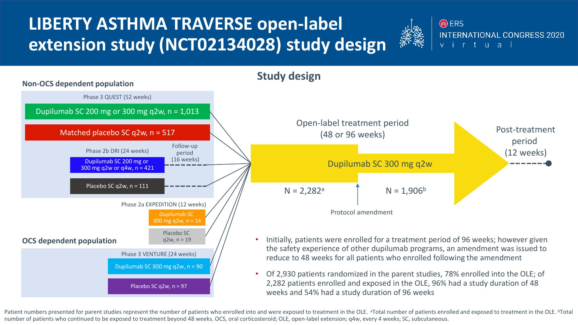# **LIBERTY ASTHMA TRAVERSE open-label extension study (NCT02134028) study design**





Patient numbers presented for parent studies represent the number of patients who enrolled into and were exposed to treatment in the OLE. <sup>a</sup>Total number of patients enrolled and exposed to treatment in the OLE. <sup>b</sup>Total number of patients who continued to be exposed to treatment beyond 48 weeks. OCS, oral corticosteroid; OLE, open-label extension; q4w, every 4 weeks; SC, subcutaneous.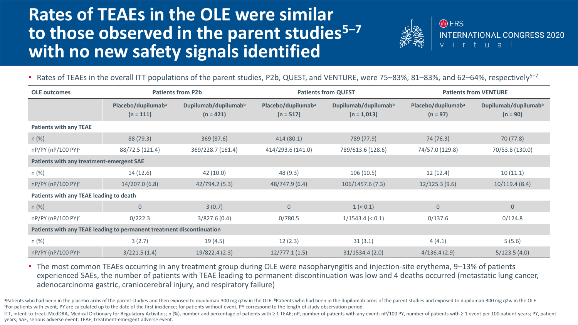## **Rates of TEAEs in the OLE were similar to those observed in the parent studies<sup>5</sup>–<sup>7</sup> with no new safety signals identified**



**A** ERS **INTERNATIONAL CONGRESS 2020** virtual

• Rates of TEAEs in the overall ITT populations of the parent studies, P2b, QUEST, and VENTURE, were 75-83%, 81-83%, and 62-64%, respectively<sup>5-7</sup>

| <b>OLE outcomes</b>                                                   | <b>Patients from P2b</b>                      |                                                 | <b>Patients from QUEST</b>                    |                                                   | <b>Patients from VENTURE</b>                 |                                                |  |
|-----------------------------------------------------------------------|-----------------------------------------------|-------------------------------------------------|-----------------------------------------------|---------------------------------------------------|----------------------------------------------|------------------------------------------------|--|
|                                                                       | Placebo/dupilumab <sup>a</sup><br>$(n = 111)$ | Dupilumab/dupilumab <sup>b</sup><br>$(n = 421)$ | Placebo/dupilumab <sup>a</sup><br>$(n = 517)$ | Dupilumab/dupilumab <sup>b</sup><br>$(n = 1,013)$ | Placebo/dupilumab <sup>a</sup><br>$(n = 97)$ | Dupilumab/dupilumab <sup>b</sup><br>$(n = 90)$ |  |
| <b>Patients with any TEAE</b>                                         |                                               |                                                 |                                               |                                                   |                                              |                                                |  |
| $n (\%)$                                                              | 88 (79.3)                                     | 369(87.6)                                       | 414(80.1)                                     | 789 (77.9)                                        | 74 (76.3)                                    | 70 (77.8)                                      |  |
| nP/PY (nP/100 PY) <sup>c</sup>                                        | 88/72.5 (121.4)                               | 369/228.7 (161.4)                               | 414/293.6 (141.0)                             | 789/613.6 (128.6)                                 | 74/57.0 (129.8)                              | 70/53.8 (130.0)                                |  |
| Patients with any treatment-emergent SAE                              |                                               |                                                 |                                               |                                                   |                                              |                                                |  |
| $n(\%)$                                                               | 14(12.6)                                      | 42(10.0)                                        | 48(9.3)                                       | 106(10.5)                                         | 12(12.4)                                     | 10(11.1)                                       |  |
| nP/PY (nP/100 PY) <sup>c</sup>                                        | 14/207.0(6.8)                                 | 42/794.2 (5.3)                                  | 48/747.9 (6.4)                                | 106/1457.6(7.3)                                   | 12/125.3(9.6)                                | 10/119.4(8.4)                                  |  |
| Patients with any TEAE leading to death                               |                                               |                                                 |                                               |                                                   |                                              |                                                |  |
| $n (\%)$                                                              | $\overline{0}$                                | 3(0.7)                                          | $\overline{0}$                                | 1 (< 0.1)                                         | $\mathbf{0}$                                 | $\mathbf{0}$                                   |  |
| nP/PY (nP/100 PY) <sup>c</sup>                                        | 0/222.3                                       | 3/827.6(0.4)                                    | 0/780.5                                       | $1/1543.4$ (< 0.1)                                | 0/137.6                                      | 0/124.8                                        |  |
| Patients with any TEAE leading to permanent treatment discontinuation |                                               |                                                 |                                               |                                                   |                                              |                                                |  |
| $n$ (%)                                                               | 3(2.7)                                        | 19(4.5)                                         | 12(2.3)                                       | 31(3.1)                                           | 4(4.1)                                       | 5(5.6)                                         |  |
| nP/PY (nP/100 PY) <sup>c</sup>                                        | 3/221.5(1.4)                                  | 19/822.4 (2.3)                                  | 12/777.1(1.5)                                 | 31/1534.4(2.0)                                    | 4/136.4(2.9)                                 | 5/123.5(4.0)                                   |  |

• The most common TEAEs occurring in any treatment group during OLE were nasopharyngitis and injection-site erythema, 9–13% of patients experienced SAEs, the number of patients with TEAE leading to permanent discontinuation was low and 4 deaths occurred (metastatic lung cancer, adenocarcinoma gastric, craniocerebral injury, and respiratory failure)

apatients who had been in the placebo arms of the parent studies and then exposed to dupilumab 300 mg q2w in the OLE. bpatients who had been in the dupilumab arms of the parent studies and exposed to dupilumab 300 mg q2w i <sup>c</sup>For patients with event, PY are calculated up to the date of the first incidence; for patients without event, PY correspond to the length of study observation period.

ITT, intent-to-treat; MedDRA, Medical Dictionary for Regulatory Activities; n (%), number and percentage of patients with ≥ 1 TEAE; nP, number of patients with any event; nP/100 PY, number of patients with ≥ 1 event per 1 years; SAE, serious adverse event; TEAE, treatment-emergent adverse event.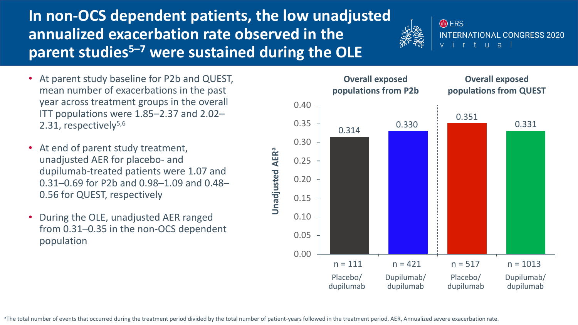**In non-OCS dependent patients, the low unadjusted annualized exacerbation rate observed in the parent studies<sup>5</sup>–<sup>7</sup> were sustained during the OLE** 



- At parent study baseline for P2b and QUEST, mean number of exacerbations in the past year across treatment groups in the overall ITT populations were 1.85–2.37 and 2.02– 2.31, respectively<sup>5,6</sup>
- At end of parent study treatment, unadjusted AER for placebo- and dupilumab-treated patients were 1.07 and 0.31–0.69 for P2b and 0.98–1.09 and 0.48– 0.56 for QUEST, respectively
- During the OLE, unadjusted AER ranged from 0.31–0.35 in the non-OCS dependent population

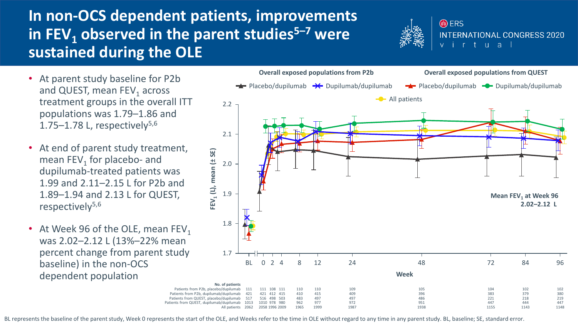### **In non-OCS dependent patients, improvements in FEV<sup>1</sup> observed in the parent studies<sup>5</sup>–<sup>7</sup> were sustained during the OLE**



- At parent study baseline for P2b and QUEST, mean  $\text{FEV}_1$  across treatment groups in the overall ITT populations was 1.79–1.86 and 1.75–1.78 L, respectively $5,6$
- At end of parent study treatment, mean  $FEV_1$  for placebo- and dupilumab-treated patients was 1.99 and 2.11–2.15 L for P2b and 1.89–1.94 and 2.13 L for QUEST, respectively<sup>5,6</sup>
- At Week 96 of the OLE, mean  $FEV<sub>1</sub>$ was 2.02–2.12 L (13%–22% mean percent change from parent study baseline) in the non-OCS dependent population



BL represents the baseline of the parent study, Week 0 represents the start of the OLE, and Weeks refer to the time in OLE without regard to any time in any parent study. BL, baseline; SE, standard error.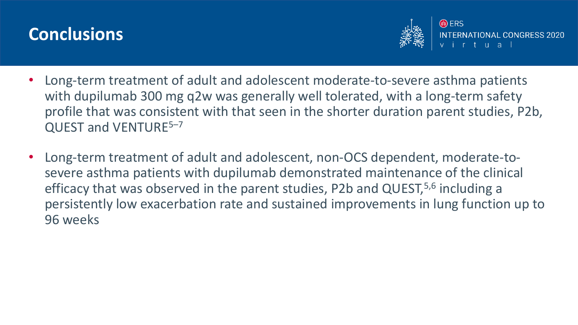## **Conclusions**



- Long-term treatment of adult and adolescent moderate-to-severe asthma patients with dupilumab 300 mg q2w was generally well tolerated, with a long-term safety profile that was consistent with that seen in the shorter duration parent studies, P2b, QUEST and VENTURE<sup>5-7</sup>
- Long-term treatment of adult and adolescent, non-OCS dependent, moderate-tosevere asthma patients with dupilumab demonstrated maintenance of the clinical efficacy that was observed in the parent studies, P2b and QUEST,<sup>5,6</sup> including a persistently low exacerbation rate and sustained improvements in lung function up to 96 weeks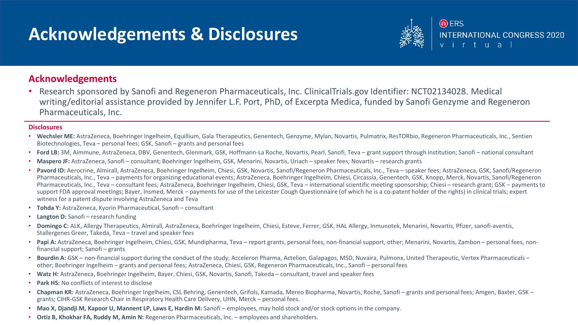### **Acknowledgements & Disclosures**



#### **Acknowledgements**

• Research sponsored by Sanofi and Regeneron Pharmaceuticals, Inc. ClinicalTrials.gov Identifier: NCT02134028. Medical writing/editorial assistance provided by Jennifer L.F. Port, PhD, of Excerpta Medica, funded by Sanofi Genzyme and Regeneron Pharmaceuticals, Inc.

#### **Disclosures**

- **Wechsler ME:** AstraZeneca, Boehringer Ingelheim, Equillium, Gala Therapeutics, Genentech, Genzyme, Mylan, Novartis, Pulmatrix, ResTORbio, Regeneron Pharmaceuticals, Inc., Sentien Biotechnologies, Teva – personal fees; GSK, Sanofi – grants and personal fees
- **Ford LB:** 3M, Aimmune, AstraZeneca, DBV, Genentech, Glenmark, GSK, Hoffmann-La Roche, Novartis, Pearl, Sanofi, Teva grant support through institution; Sanofi national consultant
- **Maspero JF:** AstraZeneca, Sanofi consultant; Boehringer Ingelheim, GSK, Menarini, Novartis, Uriach speaker fees; Novartis research grants
- **Pavord ID:** Aerocrine, Almirall, AstraZeneca, Boehringer Ingelheim, Chiesi, GSK, Novartis, Sanofi/Regeneron Pharmaceuticals, Inc., Teva speaker fees; AstraZeneca, GSK, Sanofi/Regeneron Pharmaceuticals, Inc., Teva – payments for organizing educational events; AstraZeneca, Boehringer Ingelheim, Chiesi, Circassia, Genentech, GSK, Knopp, Merck, Novartis, Sanofi/Regeneron Pharmaceuticals, Inc., Teva – consultant fees; AstraZeneca, Boehringer Ingelheim, Chiesi, GSK, Teva – international scientific meeting sponsorship; Chiesi – research grant; GSK − payments to support FDA approval meetings; Bayer, Insmed, Merck − payments for use of the Leicester Cough Questionnaire (of which he is a co-patent holder of the rights) in clinical trials; expert witness for a patent dispute involving AstraZeneca and Teva
- **Tohda Y:** AstraZeneca, Kyorin Pharmaceutical, Sanofi consultant
- **Langton D:** Sanofi research funding
- **Domingo C:** ALK, Allergy Therapeutics, Almirall, AstraZeneca, Boehringer Ingelheim, Chiesi, Esteve, Ferrer, GSK, HAL Allergy, Inmunotek, Menarini, Novartis, Pfizer, sanofi-aventis, Stallergenes Greer, Takeda, Teva – travel and speaker fees
- Papi A: AstraZeneca, Boehringer Ingelheim, Chiesi, GSK, Mundipharma, Teva report grants, personal fees, non-financial support, other; Menarini, Novartis, Zambon personal fees, nonfinancial support; Sanofi – grants
- **Bourdin A:** GSK non-financial support during the conduct of the study; Acceleron Pharma, Actelion, Galapagos, MSD, Nuvaira, Pulmonx, United Therapeutic, Vertex Pharmaceuticals other; Boehringer Ingelheim – grants and personal fees; AstraZeneca, Chiesi, GSK, Regeneron Pharmaceuticals, Inc., Sanofi – personal fees
- **Watz H:** AstraZeneca, Boehringer Ingelheim, Bayer, Chiesi, GSK, Novartis, Sanofi, Takeda consultant, travel and speaker fees
- **Park HS: No conflicts of interest to disclose**
- **Chapman KR:** AstraZeneca, Boehringer Ingelheim, CSL Behring, Genentech, Grifols, Kamada, Mereo Biopharma, Novartis, Roche, Sanofi grants and personal fees; Amgen, Baxter, GSK grants; CIHR-GSK Research Chair in Respiratory Health Care Delivery, UHN, Merck – personal fees.
- **Mao X, Djandji M, Kapoor U, Mannent LP, Laws E, Hardin M:** Sanofi employees, may hold stock and/or stock options in the company.
- **Ortiz B, Khokhar FA, Ruddy M, Amin N:** Regeneron Pharmaceuticals, Inc. employees and shareholders.